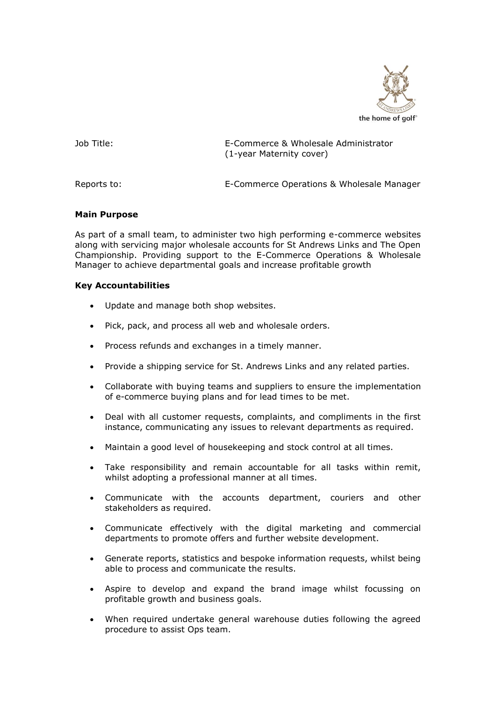

Job Title: E-Commerce & Wholesale Administrator (1-year Maternity cover)

Reports to: E-Commerce Operations & Wholesale Manager

## **Main Purpose**

As part of a small team, to administer two high performing e-commerce websites along with servicing major wholesale accounts for St Andrews Links and The Open Championship. Providing support to the E-Commerce Operations & Wholesale Manager to achieve departmental goals and increase profitable growth

## **Key Accountabilities**

- Update and manage both shop websites.
- Pick, pack, and process all web and wholesale orders.
- Process refunds and exchanges in a timely manner.
- Provide a shipping service for St. Andrews Links and any related parties.
- Collaborate with buying teams and suppliers to ensure the implementation of e-commerce buying plans and for lead times to be met.
- Deal with all customer requests, complaints, and compliments in the first instance, communicating any issues to relevant departments as required.
- Maintain a good level of housekeeping and stock control at all times.
- Take responsibility and remain accountable for all tasks within remit, whilst adopting a professional manner at all times.
- Communicate with the accounts department, couriers and other stakeholders as required.
- Communicate effectively with the digital marketing and commercial departments to promote offers and further website development.
- Generate reports, statistics and bespoke information requests, whilst being able to process and communicate the results.
- Aspire to develop and expand the brand image whilst focussing on profitable growth and business goals.
- When required undertake general warehouse duties following the agreed procedure to assist Ops team.